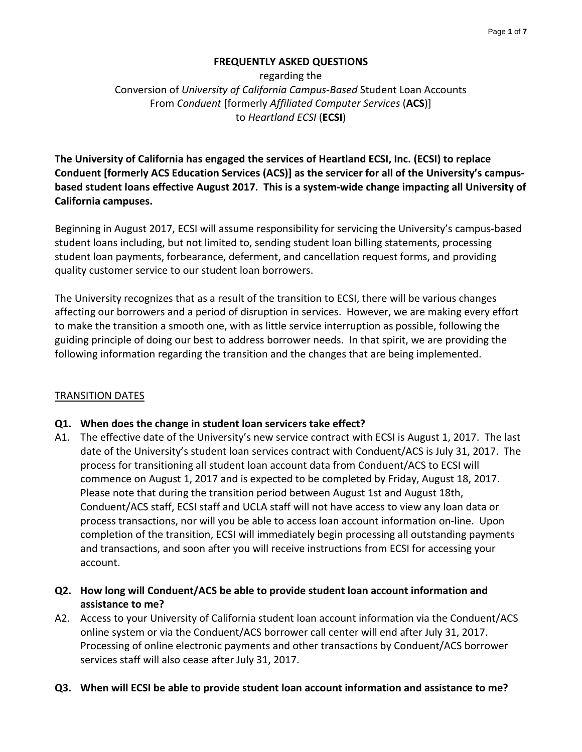## **FREQUENTLY ASKED QUESTIONS**

regarding the Conversion of *University of California Campus-Based* Student Loan Accounts From *Conduent* [formerly *Affiliated Computer Services* (**ACS**)] to *Heartland ECSI* (**ECSI**)

**The University of California has engaged the services of Heartland ECSI, Inc. (ECSI) to replace Conduent [formerly ACS Education Services (ACS)] as the servicer for all of the University's campusbased student loans effective August 2017. This is a system-wide change impacting all University of California campuses.**

Beginning in August 2017, ECSI will assume responsibility for servicing the University's campus-based student loans including, but not limited to, sending student loan billing statements, processing student loan payments, forbearance, deferment, and cancellation request forms, and providing quality customer service to our student loan borrowers.

The University recognizes that as a result of the transition to ECSI, there will be various changes affecting our borrowers and a period of disruption in services. However, we are making every effort to make the transition a smooth one, with as little service interruption as possible, following the guiding principle of doing our best to address borrower needs. In that spirit, we are providing the following information regarding the transition and the changes that are being implemented.

## TRANSITION DATES

## **Q1. When does the change in student loan servicers take effect?**

- A1. The effective date of the University's new service contract with ECSI is August 1, 2017. The last date of the University's student loan services contract with Conduent/ACS is July 31, 2017. The process for transitioning all student loan account data from Conduent/ACS to ECSI will commence on August 1, 2017 and is expected to be completed by Friday, August 18, 2017. Please note that during the transition period between August 1st and August 18th, Conduent/ACS staff, ECSI staff and UCLA staff will not have access to view any loan data or process transactions, nor will you be able to access loan account information on-line. Upon completion of the transition, ECSI will immediately begin processing all outstanding payments and transactions, and soon after you will receive instructions from ECSI for accessing your account.
- **Q2. How long will Conduent/ACS be able to provide student loan account information and assistance to me?**
- A2. Access to your University of California student loan account information via the Conduent/ACS online system or via the Conduent/ACS borrower call center will end after July 31, 2017. Processing of online electronic payments and other transactions by Conduent/ACS borrower services staff will also cease after July 31, 2017.
- **Q3. When will ECSI be able to provide student loan account information and assistance to me?**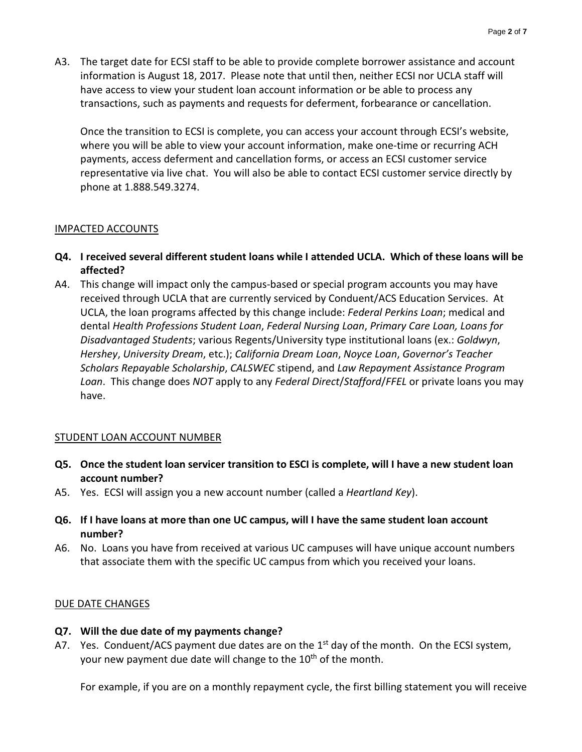A3. The target date for ECSI staff to be able to provide complete borrower assistance and account information is August 18, 2017. Please note that until then, neither ECSI nor UCLA staff will have access to view your student loan account information or be able to process any transactions, such as payments and requests for deferment, forbearance or cancellation.

Once the transition to ECSI is complete, you can access your account through ECSI's website, where you will be able to view your account information, make one-time or recurring ACH payments, access deferment and cancellation forms, or access an ECSI customer service representative via live chat. You will also be able to contact ECSI customer service directly by phone at 1.888.549.3274.

## IMPACTED ACCOUNTS

- **Q4. I received several different student loans while I attended UCLA. Which of these loans will be affected?**
- A4. This change will impact only the campus-based or special program accounts you may have received through UCLA that are currently serviced by Conduent/ACS Education Services. At UCLA, the loan programs affected by this change include: *Federal Perkins Loan*; medical and dental *Health Professions Student Loan*, *Federal Nursing Loan*, *Primary Care Loan, Loans for Disadvantaged Students*; various Regents/University type institutional loans (ex.: *Goldwyn*, *Hershey*, *University Dream*, etc.); *California Dream Loan*, *Noyce Loan*, *Governor's Teacher Scholars Repayable Scholarship*, *CALSWEC* stipend, and *Law Repayment Assistance Program Loan*. This change does *NOT* apply to any *Federal Direct*/*Stafford*/*FFEL* or private loans you may have.

#### STUDENT LOAN ACCOUNT NUMBER

- **Q5. Once the student loan servicer transition to ESCI is complete, will I have a new student loan account number?**
- A5. Yes. ECSI will assign you a new account number (called a *Heartland Key*).
- **Q6. If I have loans at more than one UC campus, will I have the same student loan account number?**
- A6. No. Loans you have from received at various UC campuses will have unique account numbers that associate them with the specific UC campus from which you received your loans.

#### DUE DATE CHANGES

- **Q7. Will the due date of my payments change?**
- A7. Yes. Conduent/ACS payment due dates are on the  $1<sup>st</sup>$  day of the month. On the ECSI system, your new payment due date will change to the 10<sup>th</sup> of the month.

For example, if you are on a monthly repayment cycle, the first billing statement you will receive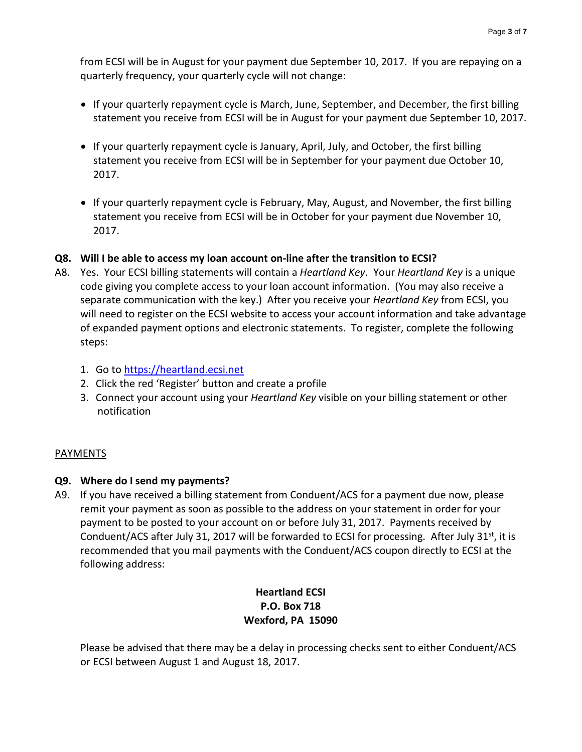from ECSI will be in August for your payment due September 10, 2017. If you are repaying on a quarterly frequency, your quarterly cycle will not change:

- If your quarterly repayment cycle is March, June, September, and December, the first billing statement you receive from ECSI will be in August for your payment due September 10, 2017.
- If your quarterly repayment cycle is January, April, July, and October, the first billing statement you receive from ECSI will be in September for your payment due October 10, 2017.
- If your quarterly repayment cycle is February, May, August, and November, the first billing statement you receive from ECSI will be in October for your payment due November 10, 2017.

# **Q8. Will I be able to access my loan account on-line after the transition to ECSI?**

- A8. Yes. Your ECSI billing statements will contain a *Heartland Key*. Your *Heartland Key* is a unique code giving you complete access to your loan account information. (You may also receive a separate communication with the key.) After you receive your *Heartland Key* from ECSI, you will need to register on the ECSI website to access your account information and take advantage of expanded payment options and electronic statements. To register, complete the following steps:
	- 1. Go to [https://heartland.ecsi.net](https://heartland.ecsi.net/)
	- 2. Click the red 'Register' button and create a profile
	- 3. Connect your account using your *Heartland Key* visible on your billing statement or other notification

## PAYMENTS

## **Q9. Where do I send my payments?**

A9. If you have received a billing statement from Conduent/ACS for a payment due now, please remit your payment as soon as possible to the address on your statement in order for your payment to be posted to your account on or before July 31, 2017. Payments received by Conduent/ACS after July 31, 2017 will be forwarded to ECSI for processing. After July  $31<sup>st</sup>$ , it is recommended that you mail payments with the Conduent/ACS coupon directly to ECSI at the following address:

# **Heartland ECSI P.O. Box 718 Wexford, PA 15090**

Please be advised that there may be a delay in processing checks sent to either Conduent/ACS or ECSI between August 1 and August 18, 2017.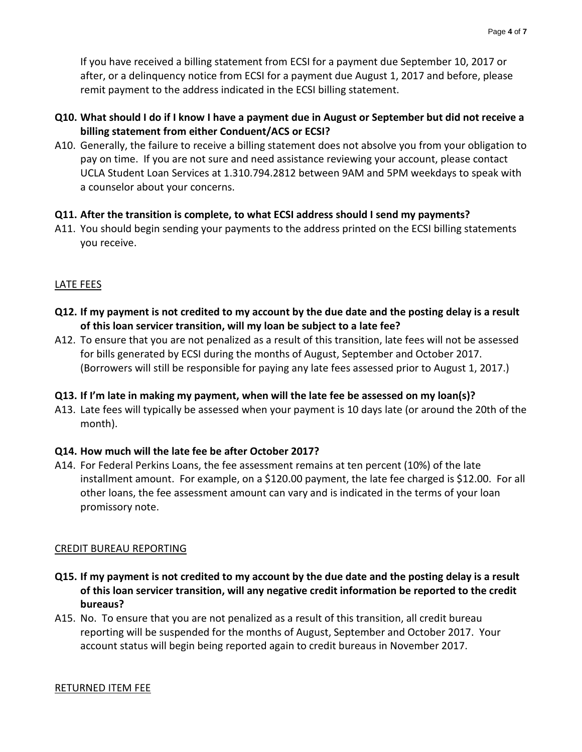If you have received a billing statement from ECSI for a payment due September 10, 2017 or after, or a delinquency notice from ECSI for a payment due August 1, 2017 and before, please remit payment to the address indicated in the ECSI billing statement.

- **Q10. What should I do if I know I have a payment due in August or September but did not receive a billing statement from either Conduent/ACS or ECSI?**
- A10. Generally, the failure to receive a billing statement does not absolve you from your obligation to pay on time. If you are not sure and need assistance reviewing your account, please contact UCLA Student Loan Services at 1.310.794.2812 between 9AM and 5PM weekdays to speak with a counselor about your concerns.

## **Q11. After the transition is complete, to what ECSI address should I send my payments?**

A11. You should begin sending your payments to the address printed on the ECSI billing statements you receive.

# LATE FEES

- **Q12. If my payment is not credited to my account by the due date and the posting delay is a result of this loan servicer transition, will my loan be subject to a late fee?**
- A12. To ensure that you are not penalized as a result of this transition, late fees will not be assessed for bills generated by ECSI during the months of August, September and October 2017. (Borrowers will still be responsible for paying any late fees assessed prior to August 1, 2017.)

## **Q13. If I'm late in making my payment, when will the late fee be assessed on my loan(s)?**

A13. Late fees will typically be assessed when your payment is 10 days late (or around the 20th of the month).

## **Q14. How much will the late fee be after October 2017?**

A14. For Federal Perkins Loans, the fee assessment remains at ten percent (10%) of the late installment amount. For example, on a \$120.00 payment, the late fee charged is \$12.00. For all other loans, the fee assessment amount can vary and is indicated in the terms of your loan promissory note.

#### CREDIT BUREAU REPORTING

- **Q15. If my payment is not credited to my account by the due date and the posting delay is a result of this loan servicer transition, will any negative credit information be reported to the credit bureaus?**
- A15. No. To ensure that you are not penalized as a result of this transition, all credit bureau reporting will be suspended for the months of August, September and October 2017. Your account status will begin being reported again to credit bureaus in November 2017.

#### RETURNED ITEM FEE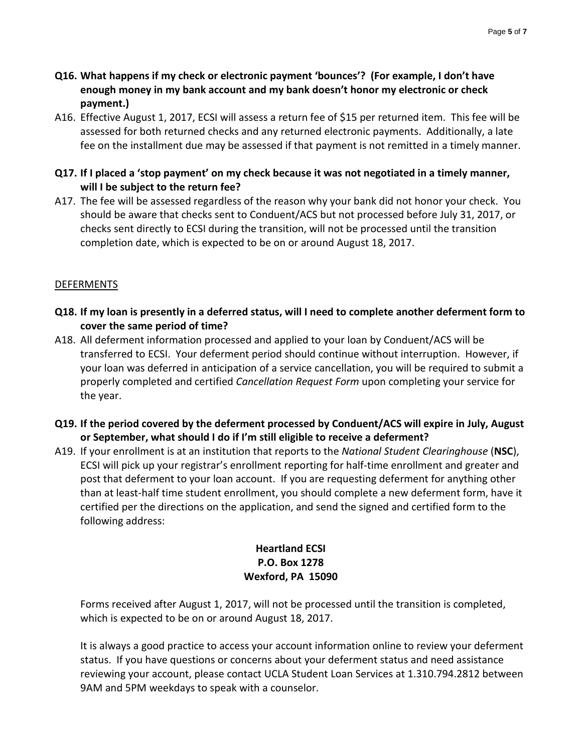- **Q16. What happens if my check or electronic payment 'bounces'? (For example, I don't have enough money in my bank account and my bank doesn't honor my electronic or check payment.)**
- A16. Effective August 1, 2017, ECSI will assess a return fee of \$15 per returned item. This fee will be assessed for both returned checks and any returned electronic payments. Additionally, a late fee on the installment due may be assessed if that payment is not remitted in a timely manner.
- **Q17. If I placed a 'stop payment' on my check because it was not negotiated in a timely manner, will I be subject to the return fee?**
- A17. The fee will be assessed regardless of the reason why your bank did not honor your check. You should be aware that checks sent to Conduent/ACS but not processed before July 31, 2017, or checks sent directly to ECSI during the transition, will not be processed until the transition completion date, which is expected to be on or around August 18, 2017.

# DEFERMENTS

- **Q18. If my loan is presently in a deferred status, will I need to complete another deferment form to cover the same period of time?**
- A18. All deferment information processed and applied to your loan by Conduent/ACS will be transferred to ECSI. Your deferment period should continue without interruption. However, if your loan was deferred in anticipation of a service cancellation, you will be required to submit a properly completed and certified *Cancellation Request Form* upon completing your service for the year.
- **Q19. If the period covered by the deferment processed by Conduent/ACS will expire in July, August or September, what should I do if I'm still eligible to receive a deferment?**
- A19. If your enrollment is at an institution that reports to the *National Student Clearinghouse* (**NSC**), ECSI will pick up your registrar's enrollment reporting for half-time enrollment and greater and post that deferment to your loan account. If you are requesting deferment for anything other than at least-half time student enrollment, you should complete a new deferment form, have it certified per the directions on the application, and send the signed and certified form to the following address:

# **Heartland ECSI P.O. Box 1278 Wexford, PA 15090**

Forms received after August 1, 2017, will not be processed until the transition is completed, which is expected to be on or around August 18, 2017.

It is always a good practice to access your account information online to review your deferment status. If you have questions or concerns about your deferment status and need assistance reviewing your account, please contact UCLA Student Loan Services at 1.310.794.2812 between 9AM and 5PM weekdays to speak with a counselor.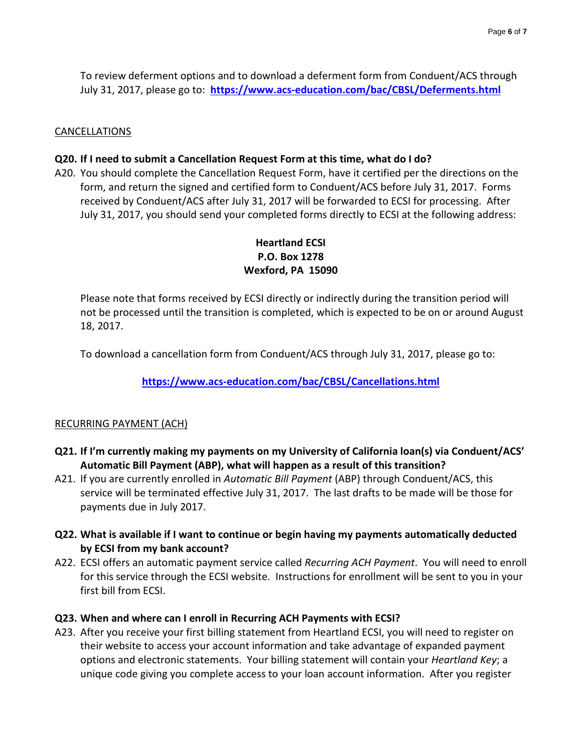To review deferment options and to download a deferment form from Conduent/ACS through July 31, 2017, please go to: **<https://www.acs-education.com/bac/CBSL/Deferments.html>**

#### CANCELLATIONS

#### **Q20. If I need to submit a Cancellation Request Form at this time, what do I do?**

A20. You should complete the Cancellation Request Form, have it certified per the directions on the form, and return the signed and certified form to Conduent/ACS before July 31, 2017. Forms received by Conduent/ACS after July 31, 2017 will be forwarded to ECSI for processing. After July 31, 2017, you should send your completed forms directly to ECSI at the following address:

# **Heartland ECSI P.O. Box 1278 Wexford, PA 15090**

Please note that forms received by ECSI directly or indirectly during the transition period will not be processed until the transition is completed, which is expected to be on or around August 18, 2017.

To download a cancellation form from Conduent/ACS through July 31, 2017, please go to:

**<https://www.acs-education.com/bac/CBSL/Cancellations.html>**

#### RECURRING PAYMENT (ACH)

- **Q21. If I'm currently making my payments on my University of California loan(s) via Conduent/ACS' Automatic Bill Payment (ABP), what will happen as a result of this transition?**
- A21. If you are currently enrolled in *Automatic Bill Payment* (ABP) through Conduent/ACS, this service will be terminated effective July 31, 2017. The last drafts to be made will be those for payments due in July 2017.
- **Q22. What is available if I want to continue or begin having my payments automatically deducted by ECSI from my bank account?**
- A22. ECSI offers an automatic payment service called *Recurring ACH Payment*. You will need to enroll for this service through the ECSI website. Instructions for enrollment will be sent to you in your first bill from ECSI.

#### **Q23. When and where can I enroll in Recurring ACH Payments with ECSI?**

A23. After you receive your first billing statement from Heartland ECSI, you will need to register on their website to access your account information and take advantage of expanded payment options and electronic statements. Your billing statement will contain your *Heartland Key*; a unique code giving you complete access to your loan account information. After you register